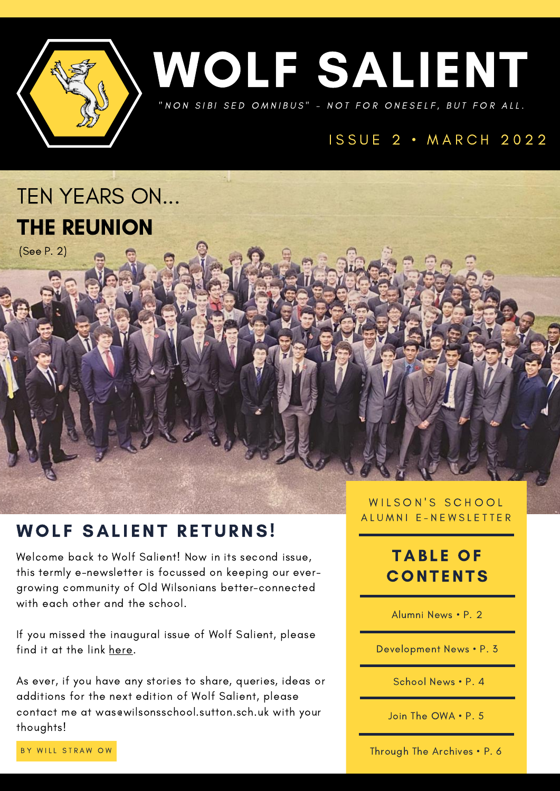



## ISSUE 2 · MARCH 2022



(See P. 2)

## WOLF SALIENT RETURNS!

Welcome back to Wolf Salient! Now in its second issue, this termly e-newsletter is focussed on keeping our evergrowing community of Old Wilsonians better-connected with each other and the school.

If you missed the inaugural issue of Wolf Salient, please find it at the link [here](https://www.wilsons.school/shared/Wolf%20Salient%20V01E01.pdf).

As ever, if you have any stories to share, queries, ideas or additions for the next edition of Wolf Salient, please contact me at [was@wilsonsschool.sutton.sch.uk](mailto:was@wilsonsschool.sutton.sch.uk) with your thoughts!

WILSON'S SCHOOL A L U M N I E - N E W S L E T T E R

## **TABLE OF CONTENTS**

Alumni News • P. 2

Development News • P. 3

School News • P. 4

Join The OWA • P. 5

BY WILL STRAW OW

Through The Archives • P. 6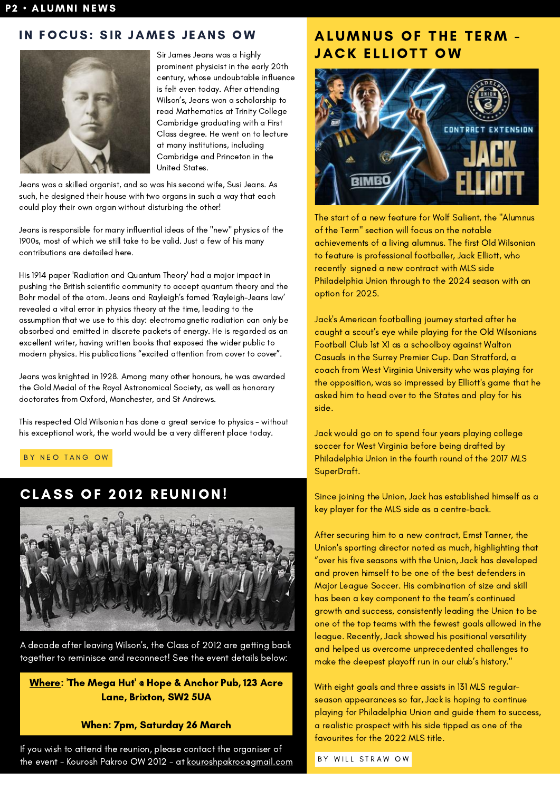#### IN FOCUS: SIR JAMES JEANS OW



Sir James Jeans was a highly prominent physicist in the early 20th century, whose undoubtable influence is felt even today. After attending Wilson's, Jeans won a scholarship to read Mathematics at Trinity College Cambridge graduating with a First Class degree. He went on to lecture at many institutions, including Cambridge and Princeton in the United States.

Jeans was a skilled organist, and so was his second wife, Susi Jeans. As such, he designed their house with two organs in such a way that each could play their own organ without disturbing the other!

Jeans is responsible for many influential ideas of the "new" physics of the 1900s, most of which we still take to be valid. Just a few of his many contributions are detailed here.

His 1914 paper 'Radiation and Quantum Theory' had a major impact in pushing the British scientific community to accept quantum theory and the Bohr model of the atom. Jeans and Rayleigh's famed 'Rayleigh-Jeans law' revealed a vital error in physics theory at the time, leading to the assumption that we use to this day: electromagnetic radiation can only be absorbed and emitted in discrete packets of energy. He is regarded as an excellent writer, having written books that exposed the wider public to modern physics. His publications "excited attention from cover to cover".

Jeans was knighted in 1928. Among many other honours, he was awarded the Gold Medal of the Royal Astronomical Society, as well as honorary doctorates from Oxford, Manchester, and St Andrews.

This respected Old Wilsonian has done a great service to physics - without his exceptional work, the world would be a very different place today.

BY NEO TANG OW

## CLASS OF 2012 REUNION!



A decade after leaving Wilson's, the Class of 2012 are getting back together to reminisce and reconnect! See the event details below:

[Where:](https://www.hopeandanchorbrixton.co.uk/) 'The Mega Hut' @ Hope & Anchor Pub, 123 Acre Lane, Brixton, SW2 5UA

#### When: 7pm, Saturday 26 March

If you wish to attend the reunion, please contact the organiser of the event - Kourosh Pakroo OW 2012 - at [kouroshpakroo@gmail.com](mailto:kouroshpakroo@gmail.com)

#### ALUMNUS OF THE TERM -**JACK ELLIOTT OW**



The start of a new feature for Wolf Salient, the "Alumnus of the Term" section will focus on the notable achievements of a living alumnus. The first Old Wilsonian to feature is professional footballer, Jack Elliott, who recently signed a new contract with MLS side Philadelphia Union through to the 2024 season with an option for 2025.

Jack's American footballing journey started after he caught a scout's eye while playing for the Old Wilsonians Football Club 1st XI as a schoolboy against Walton Casuals in the Surrey Premier Cup. [Dan Stratford,](https://twitter.com/danstrats?lang=en) a coach from West Virginia University who was playing for the opposition, was so impressed by Elliott's game that he asked him to head over to the States and play for his side.

Jack would go on to spend four years playing college soccer for West Virginia before being drafted by Philadelphia Union in the fourth round of the 2017 MLS SuperDraft.

Since joining the Union, Jack has established himself as a key player for the MLS side as a centre-back.

After securing him to a new contract, Ernst Tanner, the Union's sporting director noted as much, highlighting that "over his five seasons with the Union, Jack has developed and proven himself to be one of the best defenders in Major League Soccer. His combination of size and skill has been a key component to the team's continued growth and success, consistently leading the Union to be one of the top teams with the fewest goals allowed in the league. Recently, Jack showed his positional versatility and helped us overcome unprecedented challenges to make the deepest playoff run in our club's history."

With eight goals and three assists in 131 MLS regularseason appearances so far, Jack is hoping to continue playing for Philadelphia Union and guide them to success, a realistic prospect with his side tipped as one of the favourites for the 2022 MLS title.

BY WILL STRAW OW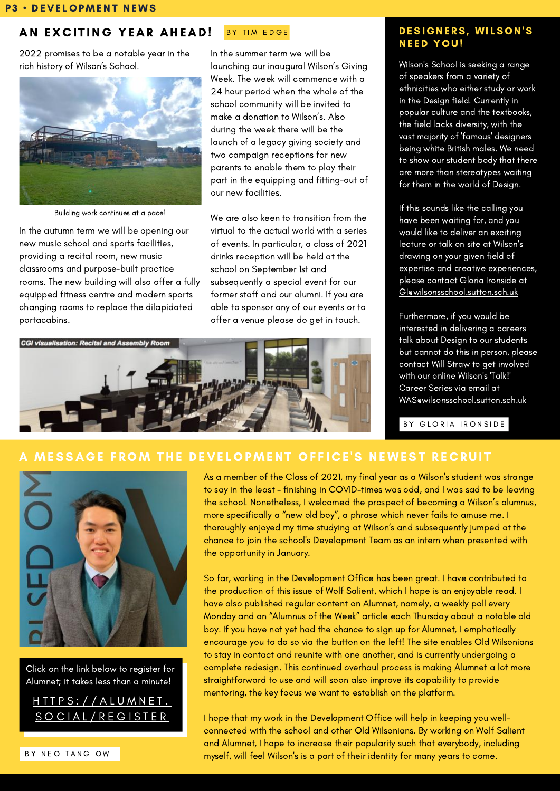#### BY TIM EDGE AN EXCITING YEAR AHEAD!

2022 promises to be a notable year in the rich history of Wilson's School.



Building work continues at a pace!

In the autumn term we will be opening our new music school and sports facilities, providing a recital room, new music classrooms and purpose-built practice rooms. The new building will also offer a fully equipped fitness centre and modern sports changing rooms to replace the dilapidated portacabins.

In the summer term we will be launching our inaugural Wilson's Giving Week. The week will commence with a 24 hour period when the whole of the school community will be invited to make a donation to Wilson's. Also during the week there will be the launch of a legacy giving society and two campaign receptions for new parents to enable them to play their part in the equipping and fitting-out of our new facilities.

We are also keen to transition from the virtual to the actual world with a series of events. In particular, a class of 2021 drinks reception will be held at the school on September 1st and subsequently a special event for our former staff and our alumni. If you are able to sponsor any of our events or to offer a venue please do get in touch.



#### DESIGNERS, WILSON'S **NEED YOU!**

Wilson's School is seeking a range of speakers from a variety of ethnicities who either study or work in the Design field. Currently in popular culture and the textbooks, the field lacks diversity, with the vast majority of 'famous' designers being white British males. We need to show our student body that there are more than stereotypes waiting for them in the world of Design.

If this sounds like the calling you have been waiting for, and you would like to deliver an exciting lecture or talk on site at Wilson's drawing on your given field of expertise and creative experiences, please contact Gloria Ironside at Glewilsonsschool.sutton.sch.uk

Furthermore, if you would be interested in delivering a careers talk about Design to our students but cannot do this in person, please contact Will Straw to get involved with our online Wilson's 'Talk!' Career Series via email at WAS@wilsonsschool.sutton.sch.uk

BY GLORIA IRONSIDE

#### MESSAGE FROM THE DEVELOPMENT OFFICE'S NEWEST RECRUIT



Click on the link below to register for Alumnet; it takes less than a minute!



As a member of the Class of 2021, my final year as a Wilson's student was strange to say in the least - finishing in COVID-times was odd, and I was sad to be leaving the school. Nonetheless, I welcomed the prospect of becoming a Wilson's alumnus, more specifically a "new old boy", a phrase which never fails to amuse me. I thoroughly enjoyed my time studying at Wilson's and subsequently jumped at the chance to join the school's Development Team as an intern when presented with the opportunity in January.

So far, working in the Development Office has been great. I have contributed to the production of this issue of Wolf Salient, which I hope is an enjoyable read. I have also published regular content on Alumnet, namely, a weekly poll every Monday and an "Alumnus of the Week" article each Thursday about a notable old boy. If you have not yet had the chance to sign up for Alumnet, I emphatically encourage you to do so via the button on the left! The site enables Old Wilsonians to stay in contact and reunite with one another, and is currently undergoing a complete redesign. This continued overhaul process is making Alumnet a lot more straightforward to use and will soon also improve its capability to provide mentoring, the key focus we want to establish on the platform.

I hope that my work in the Development Office will help in keeping you wellconnected with the school and other Old Wilsonians. By working on Wolf Salient and Alumnet, I hope to increase their popularity such that everybody, including myself, will feel Wilson's is a part of their identity for many years to come.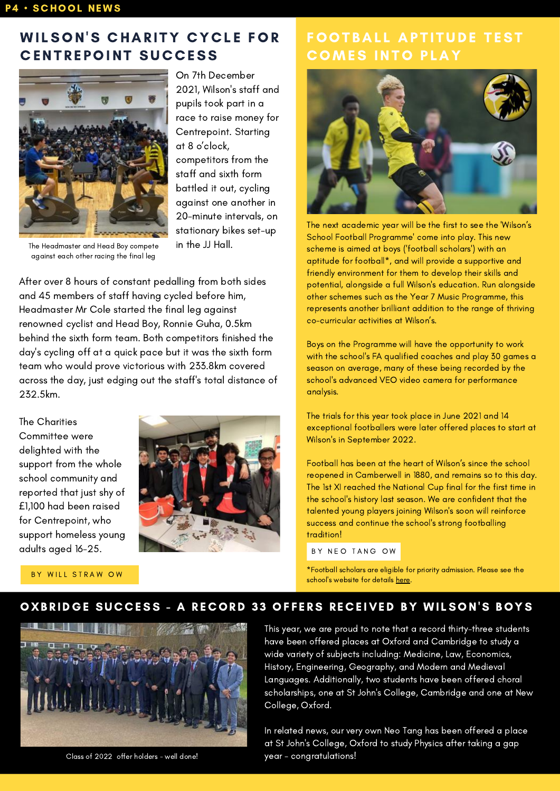### WILSON'S CHARITY CYCLE FOR **CENTREPOINT SUCCESS**



On 7th December 2021, Wilson's staff and pupils took part in a race to raise money for Centrepoint. Starting at 8 o'clock, competitors from the staff and sixth form battled it out, cycling against one another in 20-minute intervals, on stationary bikes set-up in the JJ Hall.

The Headmaster and Head Boy compete against each other racing the final leg

After over 8 hours of constant pedalling from both sides and 45 members of staff having cycled before him, Headmaster Mr Cole started the final leg against renowned cyclist and Head Boy, Ronnie Guha, 0.5km behind the sixth form team. Both competitors finished the day's cycling off at a quick pace but it was the sixth form team who would prove victorious with 233.8km covered across the day, just edging out the staff's total distance of 232.5km.

The Charities Committee were delighted with the support from the whole school community and reported that just shy of £1,100 had been raised for Centrepoint, who support homeless young adults aged 16-25.



BY WILL STRAW OW

### **FOOTBALL APTITUDE TEST COMES INTO PLAY**



The next academic year will be the first to see the 'Wilson's School Football Programme' come into play. This new scheme is aimed at boys ('football scholars') with an aptitude for football\*, and will provide a supportive and friendly environment for them to develop their skills and potential, alongside a full Wilson's education. Run alongside other schemes such as the Year 7 Music Programme, this represents another brilliant addition to the range of thriving co-curricular activities at Wilson's.

Boys on the Programme will have the opportunity to work with the school's FA qualified coaches and play 30 games a season on average, many of these being recorded by the school's advanced VEO video camera for performance analysis.

The trials for this year took place in June 2021 and 14 exceptional footballers were later offered places to start at Wilson's in September 2022.

Football has been at the heart of Wilson's since the school reopened in Camberwell in 1880, and remains so to this day. The 1st XI reached the National Cup final for the first time in the school's history last season. We are confident that the talented young players joining Wilson's soon will reinforce success and continue the school's strong footballing tradition!

BY NEO TANG OW

\*Football scholars are eligible for priority admission. Please see the school's website for details [here.](https://www.wilsons.school/football/)

#### OXBRIDGE SUCCESS - A RECORD 33 OFFERS RECEIVED BY WILSON'S BOYS



Class of 2022 offer holders - well done!

This year, we are proud to note that a record thirty-three students have been offered places at Oxford and Cambridge to study a wide variety of subjects including: Medicine, Law, Economics, History, Engineering, Geography, and Modern and Medieval Languages. Additionally, two students have been offered choral scholarships, one at St John's College, Cambridge and one at New College, Oxford.

In related news, our very own Neo Tang has been offered a place at St John's College, Oxford to study Physics after taking a gap year - congratulations!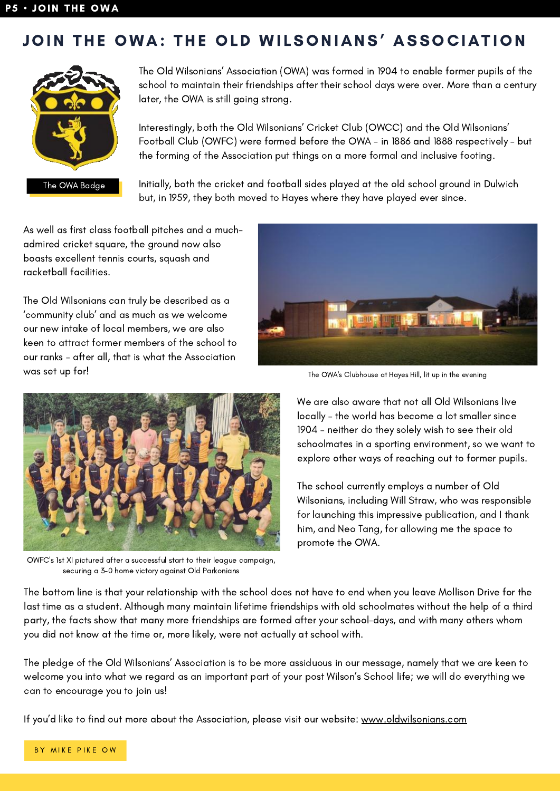## JOIN THE OWA: THE OLD WILSONIANS' ASSOCIATION



The Old Wilsonians' Association (OWA) was formed in 1904 to enable former pupils of the school to maintain their friendships after their school days were over. More than a century later, the OWA is still going strong.

Interestingly, both the Old Wilsonians' Cricket Club (OWCC) and the Old Wilsonians' Football Club (OWFC) were formed before the OWA - in 1886 and 1888 respectively – but the forming of the Association put things on a more formal and inclusive footing.

Initially, both the cricket and football sides played at the old school ground in Dulwich but, in 1959, they both moved to Hayes where they have played ever since.

As well as first class football pitches and a muchadmired cricket square, the ground now also boasts excellent tennis courts, squash and racketball facilities.

The Old Wilsonians can truly be described as a 'community club' and as much as we welcome our new intake of local members, we are also keen to attract former members of the school to our ranks – after all, that is what the Association was set up for!



The OWA's Clubhouse at Hayes Hill, lit up in the evening



OWFC's 1st XI pictured after a successful start to their league campaign, securing a 3-0 home victory against Old Parkonians

We are also aware that not all Old Wilsonians live locally – the world has become a lot smaller since 1904 – neither do they solely wish to see their old schoolmates in a sporting environment, so we want to explore other ways of reaching out to former pupils.

The school currently employs a number of Old Wilsonians, including Will Straw, who was responsible for launching this impressive publication, and I thank him, and Neo Tang, for allowing me the space to promote the OWA.

The bottom line is that your relationship with the school does not have to end when you leave Mollison Drive for the last time as a student. Although many maintain lifetime friendships with old schoolmates without the help of a third party, the facts show that many more friendships are formed after your school-days, and with many others whom you did not know at the time or, more likely, were not actually at school with.

The pledge of the Old Wilsonians' Association is to be more assiduous in our message, namely that we are keen to welcome you into what we regard as an important part of your post Wilson's School life; we will do everything we can to encourage you to join us!

If you'd like to find out more about the Association, please visit our website: [www.oldwilsonians.com](https://oldwilsonians.com/)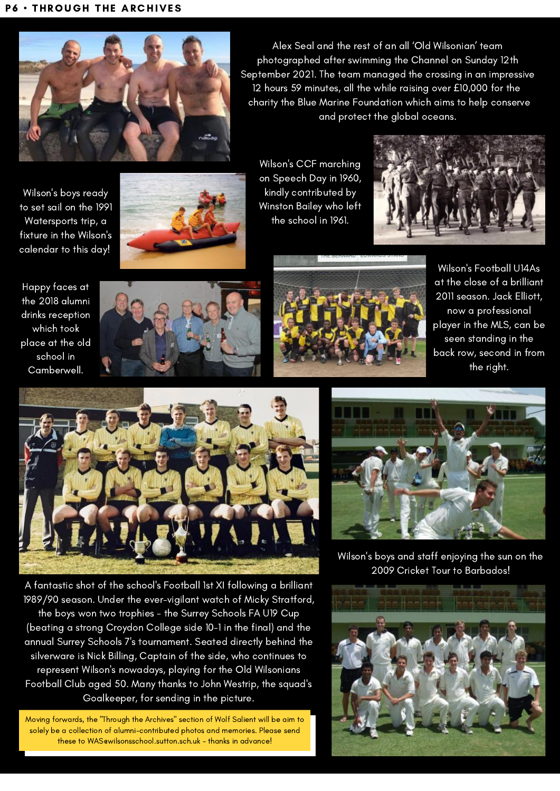

Alex Seal and the rest of an all 'Old Wilsonian' team photographed after swimming the Channel on Sunday 12th September 2021. The team managed the crossing in an impressive 12 hours 59 minutes, all the while raising over £10,000 for the charity the Blue Marine Foundation which aims to help conserve and protect the global oceans.

Wilson's boys ready to set sail on the 1991 Watersports trip, a fixture in the Wilson's calendar to this day!



Wilson's CCF marching on Speech Day in 1960, kindly contributed by Winston Bailey who left the school in 1961.



Happy faces at the 2018 alumni drinks reception which took place at the old school in Camberwell.





Wilson's Football U14As at the close of a brilliant 2011 season. Jack Elliott, now a professional player in the MLS, can be seen standing in the back row, second in from the right.



A fantastic shot of the school's Football 1st XI following a brilliant 1989/90 season. Under the ever-vigilant watch of Micky Stratford, the boys won two trophies - the Surrey Schools FA U19 Cup (beating a strong Croydon College side 10-1 in the final) and the annual Surrey Schools 7's tournament. Seated directly behind the silverware is Nick Billing, Captain of the side, who continues to represent Wilson's nowadays, playing for the Old Wilsonians Football Club aged 50. Many thanks to John Westrip, the squad's Goalkeeper, for sending in the picture.

Moving forwards, the "Through the Archives" section of Wolf Salient will be aim to solely be a collection of alumni-contributed photos and memories. Please send these to WASewilsonsschool.sutton.sch.uk - thanks in advance!



Wilson's boys and staff enjoying the sun on the 2009 Cricket Tour to Barbados!